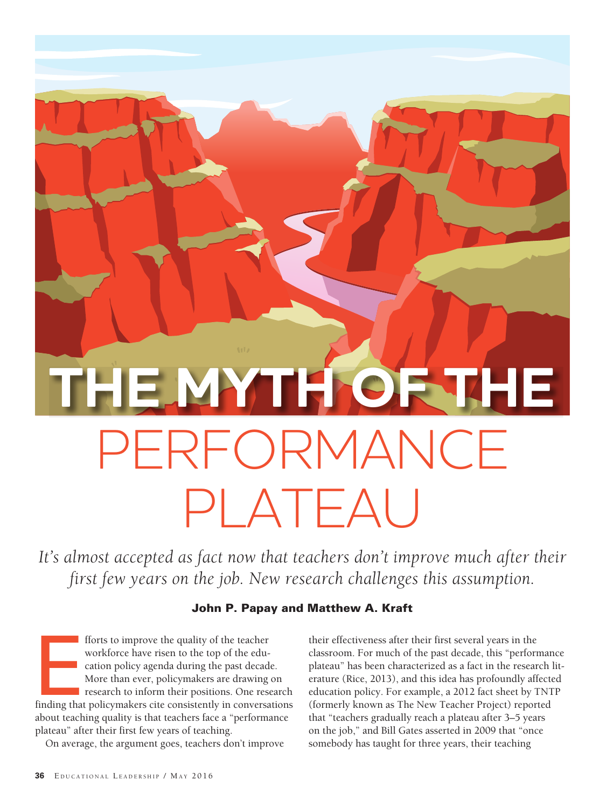# PERFORMANCE PLATEAU **THE MYTH OF THE**

It's almost accepted as fact now that teachers don't improve much after their *first few years on the job. New research challenges this assumption.* 

#### John P. Papay and Matthew A. Kraft

forts to improve the quality of the teacher<br>workforce have risen to the top of the edu-<br>cation policy agenda during the past decade.<br>More than ever, policymakers are drawing on<br>research to inform their positions. One resea fforts to improve the quality of the teacher workforce have risen to the top of the education policy agenda during the past decade. More than ever, policymakers are drawing on research to inform their positions. One research about teaching quality is that teachers face a "performance plateau" after their first few years of teaching.

On average, the argument goes, teachers don't improve

their effectiveness after their first several years in the classroom. For much of the past decade, this "performance plateau" has been characterized as a fact in the research literature (Rice, 2013), and this idea has profoundly affected education policy. For example, a 2012 fact sheet by TNTP (formerly known as The New Teacher Project) reported that "teachers gradually reach a plateau after 3–5 years on the job," and Bill Gates asserted in 2009 that "once somebody has taught for three years, their teaching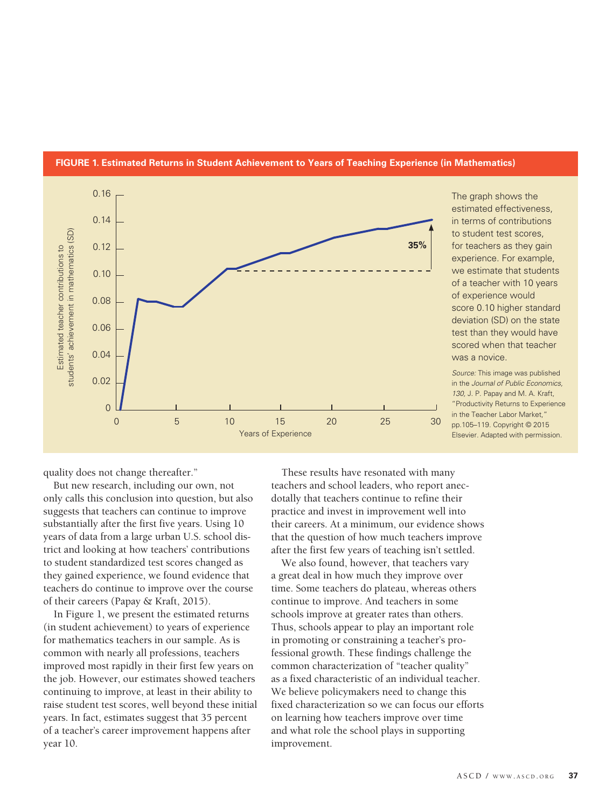

#### **FIGURE 1. Estimated Returns in Student Achievement to Years of Teaching Experience (in Mathematics)**

The graph shows the estimated effectiveness, in terms of contributions to student test scores, for teachers as they gain experience. For example, we estimate that students of a teacher with 10 years of experience would score 0.10 higher standard deviation (SD) on the state test than they would have scored when that teacher was a novice.

*Source:* This image was published in the *Journal of Public Economics, 130,* J. P. Papay and M. A. Kraft, "Productivity Returns to Experience in the Teacher Labor Market," pp.105–119. Copyright © 2015 Elsevier. Adapted with permission.

quality does not change thereafter."

But new research, including our own, not only calls this conclusion into question, but also suggests that teachers can continue to improve substantially after the first five years. Using 10 years of data from a large urban U.S. school district and looking at how teachers' contributions to student standardized test scores changed as they gained experience, we found evidence that teachers do continue to improve over the course of their careers (Papay & Kraft, 2015).

In Figure 1, we present the estimated returns (in student achievement) to years of experience for mathematics teachers in our sample. As is common with nearly all professions, teachers improved most rapidly in their first few years on the job. However, our estimates showed teachers continuing to improve, at least in their ability to raise student test scores, well beyond these initial years. In fact, estimates suggest that 35 percent of a teacher's career improvement happens after year 10.

These results have resonated with many teachers and school leaders, who report anecdotally that teachers continue to refine their practice and invest in improvement well into their careers. At a minimum, our evidence shows that the question of how much teachers improve after the first few years of teaching isn't settled.

We also found, however, that teachers vary a great deal in how much they improve over time. Some teachers do plateau, whereas others continue to improve. And teachers in some schools improve at greater rates than others. Thus, schools appear to play an important role in promoting or constraining a teacher's professional growth. These findings challenge the common characterization of "teacher quality" as a fixed characteristic of an individual teacher. We believe policymakers need to change this fixed characterization so we can focus our efforts on learning how teachers improve over time and what role the school plays in supporting improvement.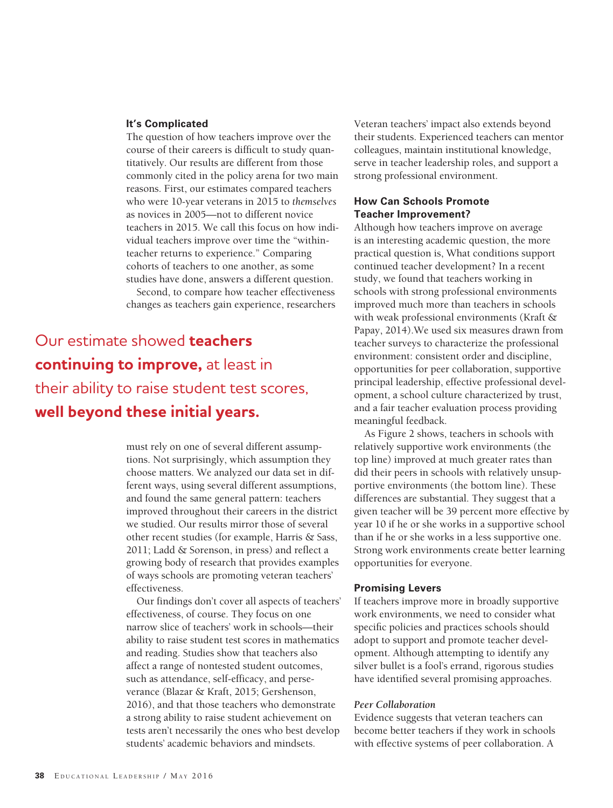#### **It's Complicated**

The question of how teachers improve over the course of their careers is difficult to study quantitatively. Our results are different from those commonly cited in the policy arena for two main reasons. First, our estimates compared teachers who were 10-year veterans in 2015 to *themselves* as novices in 2005—not to different novice teachers in 2015. We call this focus on how individual teachers improve over time the "withinteacher returns to experience." Comparing cohorts of teachers to one another, as some studies have done, answers a different question.

Second, to compare how teacher effectiveness changes as teachers gain experience, researchers

## Our estimate showed **teachers continuing to improve,** at least in their ability to raise student test scores, **well beyond these initial years.**

must rely on one of several different assumptions. Not surprisingly, which assumption they choose matters. We analyzed our data set in different ways, using several different assumptions, and found the same general pattern: teachers improved throughout their careers in the district we studied. Our results mirror those of several other recent studies (for example, Harris & Sass, 2011; Ladd & Sorenson, in press) and reflect a growing body of research that provides examples of ways schools are promoting veteran teachers' effectiveness.

Our findings don't cover all aspects of teachers' effectiveness, of course. They focus on one narrow slice of teachers' work in schools—their ability to raise student test scores in mathematics and reading. Studies show that teachers also affect a range of nontested student outcomes, such as attendance, self-efficacy, and perseverance (Blazar & Kraft, 2015; Gershenson, 2016), and that those teachers who demonstrate a strong ability to raise student achievement on tests aren't necessarily the ones who best develop students' academic behaviors and mindsets.

Veteran teachers' impact also extends beyond their students. Experienced teachers can mentor colleagues, maintain institutional knowledge, serve in teacher leadership roles, and support a strong professional environment.

#### **How Can Schools Promote Teacher Improvement?**

Although how teachers improve on average is an interesting academic question, the more practical question is, What conditions support continued teacher development? In a recent study, we found that teachers working in schools with strong professional environments improved much more than teachers in schools with weak professional environments (Kraft & Papay, 2014).We used six measures drawn from teacher surveys to characterize the professional environment: consistent order and discipline, opportunities for peer collaboration, supportive principal leadership, effective professional development, a school culture characterized by trust, and a fair teacher evaluation process providing meaningful feedback.

As Figure 2 shows, teachers in schools with relatively supportive work environments (the top line) improved at much greater rates than did their peers in schools with relatively unsupportive environments (the bottom line). These differences are substantial. They suggest that a given teacher will be 39 percent more effective by year 10 if he or she works in a supportive school than if he or she works in a less supportive one. Strong work environments create better learning opportunities for everyone.

#### **Promising Levers**

If teachers improve more in broadly supportive work environments, we need to consider what specific policies and practices schools should adopt to support and promote teacher development. Although attempting to identify any silver bullet is a fool's errand, rigorous studies have identified several promising approaches.

#### *Peer Collaboration*

Evidence suggests that veteran teachers can become better teachers if they work in schools with effective systems of peer collaboration. A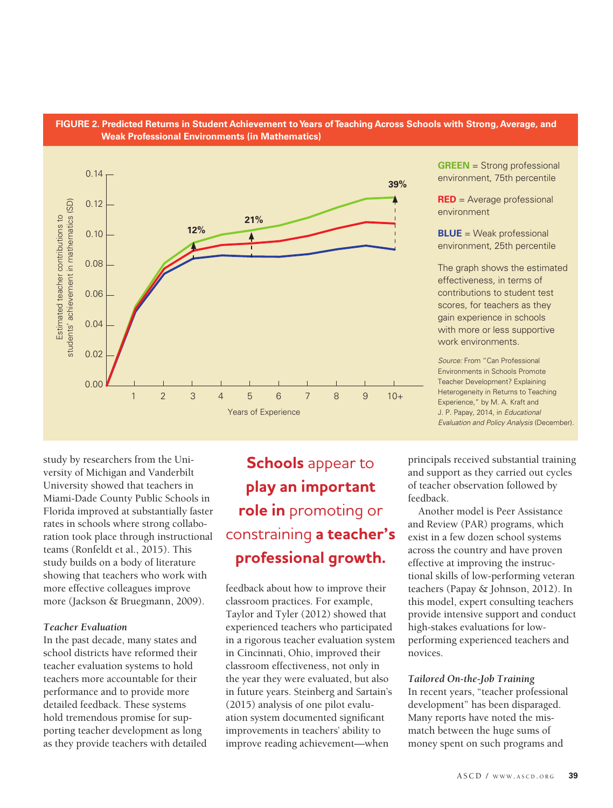



study by researchers from the University of Michigan and Vanderbilt University showed that teachers in Miami-Dade County Public Schools in Florida improved at substantially faster rates in schools where strong collaboration took place through instructional teams (Ronfeldt et al., 2015). This study builds on a body of literature showing that teachers who work with more effective colleagues improve more (Jackson & Bruegmann, 2009).

#### *Teacher Evaluation*

In the past decade, many states and school districts have reformed their teacher evaluation systems to hold teachers more accountable for their performance and to provide more detailed feedback. These systems hold tremendous promise for supporting teacher development as long as they provide teachers with detailed

# **Schools** appear to **play an important role in** promoting or constraining **a teacher's professional growth.**

feedback about how to improve their classroom practices. For example, Taylor and Tyler (2012) showed that experienced teachers who participated in a rigorous teacher evaluation system in Cincinnati, Ohio, improved their classroom effectiveness, not only in the year they were evaluated, but also in future years. Steinberg and Sartain's (2015) analysis of one pilot evaluation system documented significant improvements in teachers' ability to improve reading achievement—when

**GREEN** = Strong professional environment, 75th percentile

**RED** = Average professional environment

**BLUE** = Weak professional environment, 25th percentile

The graph shows the estimated effectiveness, in terms of contributions to student test scores, for teachers as they gain experience in schools with more or less supportive work environments.

*Source:* From "Can Professional Environments in Schools Promote Teacher Development? Explaining Heterogeneity in Returns to Teaching Experience," by M. A. Kraft and J. P. Papay, 2014, in *Educational Evaluation and Policy Analysis* (December).

principals received substantial training and support as they carried out cycles of teacher observation followed by feedback.

Another model is Peer Assistance and Review (PAR) programs, which exist in a few dozen school systems across the country and have proven effective at improving the instructional skills of low-performing veteran teachers (Papay & Johnson, 2012). In this model, expert consulting teachers provide intensive support and conduct high-stakes evaluations for lowperforming experienced teachers and novices.

#### *Tailored On-the-Job Training*

In recent years, "teacher professional development" has been disparaged. Many reports have noted the mismatch between the huge sums of money spent on such programs and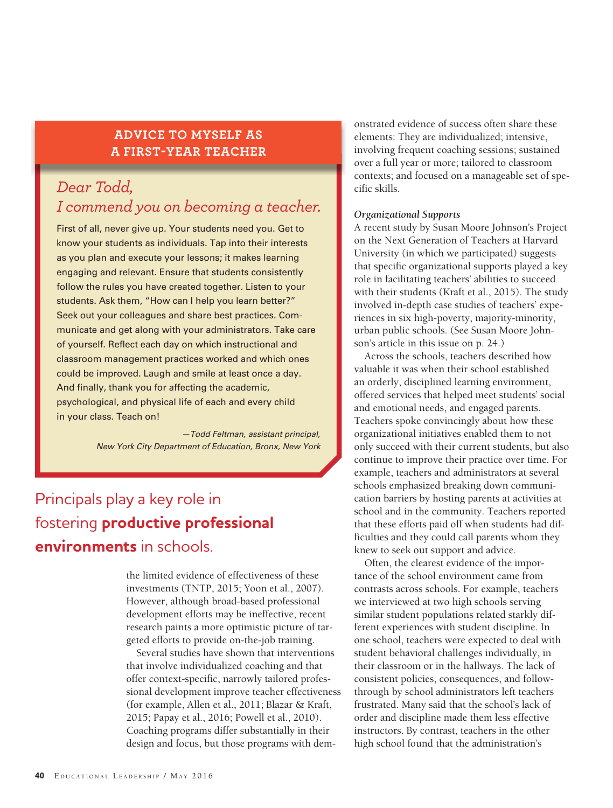#### **ADVICE TO MYSELF AS A FIRST-YEAR TEACHER**

## *Dear Todd, I commend you on becoming a teacher.*

First of all, never give up. Your students need you. Get to know your students as individuals. Tap into their interests as you plan and execute your lessons; it makes learning engaging and relevant. Ensure that students consistently follow the rules you have created together. Listen to your students. Ask them, "How can I help you learn better?" Seek out your colleagues and share best practices. Communicate and get along with your administrators. Take care of yourself. Reflect each day on which instructional and classroom management practices worked and which ones could be improved. Laugh and smile at least once a day. And finally, thank you for affecting the academic, psychological, and physical life of each and every child in your class. Teach on!

> *—Todd Feltman, assistant principal, New York City Department of Education, Bronx, New York*

## Principals play a key role in fostering **productive professional environments** in schools.

the limited evidence of effectiveness of these investments (TNTP, 2015; Yoon et al., 2007). However, although broad-based professional development efforts may be ineffective, recent research paints a more optimistic picture of targeted efforts to provide on-the-job training.

Several studies have shown that interventions that involve individualized coaching and that offer context-specific, narrowly tailored professional development improve teacher effectiveness (for example, Allen et al., 2011; Blazar & Kraft, 2015; Papay et al., 2016; Powell et al., 2010). Coaching programs differ substantially in their design and focus, but those programs with demonstrated evidence of success often share these elements: They are individualized; intensive, involving frequent coaching sessions; sustained over a full year or more; tailored to classroom contexts; and focused on a manageable set of specific skills.

#### *Organizational Supports*

A recent study by Susan Moore Johnson's Project on the Next Generation of Teachers at Harvard University (in which we participated) suggests that specific organizational supports played a key role in facilitating teachers' abilities to succeed with their students (Kraft et al., 2015). The study involved in-depth case studies of teachers' experiences in six high-poverty, majority-minority, urban public schools. (See Susan Moore Johnson's article in this issue on p. 24.)

Across the schools, teachers described how valuable it was when their school established an orderly, disciplined learning environment, offered services that helped meet students' social and emotional needs, and engaged parents. Teachers spoke convincingly about how these organizational initiatives enabled them to not only succeed with their current students, but also continue to improve their practice over time. For example, teachers and administrators at several schools emphasized breaking down communication barriers by hosting parents at activities at school and in the community. Teachers reported that these efforts paid off when students had difficulties and they could call parents whom they knew to seek out support and advice.

Often, the clearest evidence of the importance of the school environment came from contrasts across schools. For example, teachers we interviewed at two high schools serving similar student populations related starkly different experiences with student discipline. In one school, teachers were expected to deal with student behavioral challenges individually, in their classroom or in the hallways. The lack of consistent policies, consequences, and followthrough by school administrators left teachers frustrated. Many said that the school's lack of order and discipline made them less effective instructors. By contrast, teachers in the other high school found that the administration's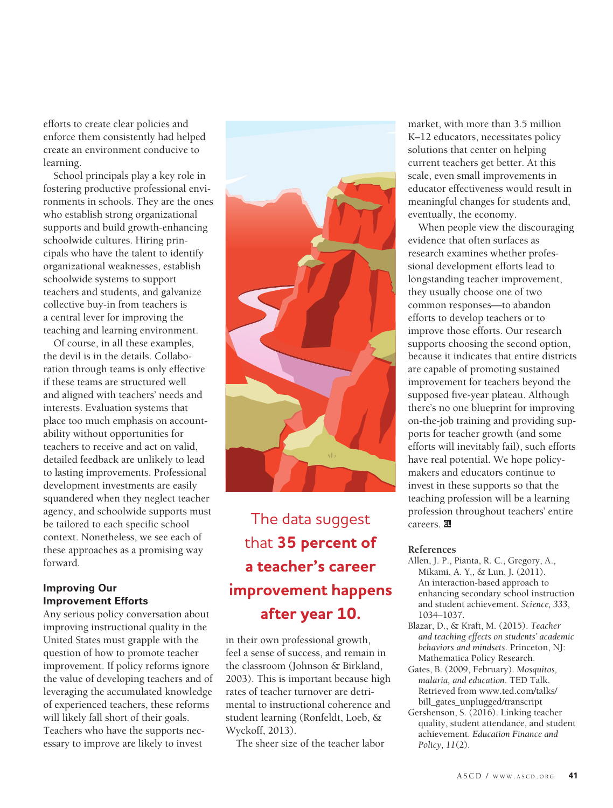efforts to create clear policies and enforce them consistently had helped create an environment conducive to learning.

School principals play a key role in fostering productive professional environments in schools. They are the ones who establish strong organizational supports and build growth-enhancing schoolwide cultures. Hiring principals who have the talent to identify organizational weaknesses, establish schoolwide systems to support teachers and students, and galvanize collective buy-in from teachers is a central lever for improving the teaching and learning environment.

Of course, in all these examples, the devil is in the details. Collaboration through teams is only effective if these teams are structured well and aligned with teachers' needs and interests. Evaluation systems that place too much emphasis on accountability without opportunities for teachers to receive and act on valid, detailed feedback are unlikely to lead to lasting improvements. Professional development investments are easily squandered when they neglect teacher agency, and schoolwide supports must be tailored to each specific school context. Nonetheless, we see each of these approaches as a promising way forward.

#### **Improving Our Improvement Efforts**

Any serious policy conversation about improving instructional quality in the United States must grapple with the question of how to promote teacher improvement. If policy reforms ignore the value of developing teachers and of leveraging the accumulated knowledge of experienced teachers, these reforms will likely fall short of their goals. Teachers who have the supports necessary to improve are likely to invest



## The data suggest that **35 percent of a teacher's career improvement happens after year 10.**

in their own professional growth, feel a sense of success, and remain in the classroom (Johnson & Birkland, 2003). This is important because high rates of teacher turnover are detrimental to instructional coherence and student learning (Ronfeldt, Loeb, & Wyckoff, 2013).

The sheer size of the teacher labor

market, with more than 3.5 million K–12 educators, necessitates policy solutions that center on helping current teachers get better. At this scale, even small improvements in educator effectiveness would result in meaningful changes for students and, eventually, the economy.

When people view the discouraging evidence that often surfaces as research examines whether professional development efforts lead to longstanding teacher improvement, they usually choose one of two common responses—to abandon efforts to develop teachers or to improve those efforts. Our research supports choosing the second option, because it indicates that entire districts are capable of promoting sustained improvement for teachers beyond the supposed five-year plateau. Although there's no one blueprint for improving on-the-job training and providing supports for teacher growth (and some efforts will inevitably fail), such efforts have real potential. We hope policymakers and educators continue to invest in these supports so that the teaching profession will be a learning profession throughout teachers' entire careers. **EL**

#### **References**

- Allen, J. P., Pianta, R. C., Gregory, A., Mikami, A. Y., & Lun, J. (2011). An interaction-based approach to enhancing secondary school instruction and student achievement. *Science, 333*, 1034–1037.
- Blazar, D., & Kraft, M. (2015). *Teacher and teaching effects on students' academic behaviors and mindsets*. Princeton, NJ: Mathematica Policy Research.
- Gates, B. (2009, February). *Mosquitos, malaria, and education*. TED Talk. Retrieved from www.ted.com/talks/ bill\_gates\_unplugged/transcript
- Gershenson, S. (2016). Linking teacher quality, student attendance, and student achievement. *Education Finance and Policy, 11*(2).